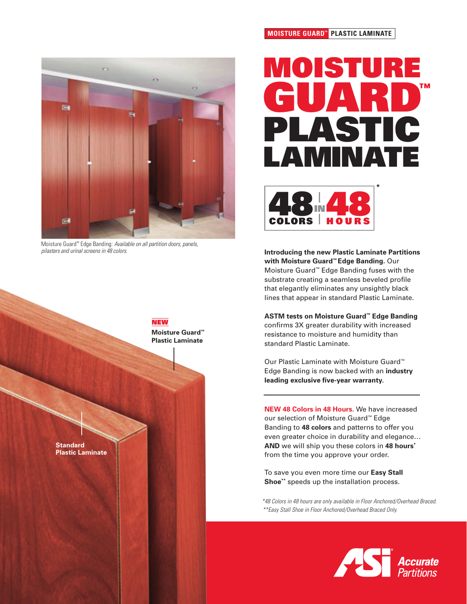

Moisture Guard™ Edge Banding: Available on all partition doors, panels, pilasters and urinal screens in 48 colors.



### **MOISTURE GUARD™ PLASTIC LAMINATE**

# **MOISTURE GUARD™ PLASTIC LAMINATE**



**Introducing the new Plastic Laminate Partitions with Moisture Guard™ Edge Banding.** Our Moisture Guard™ Edge Banding fuses with the substrate creating a seamless beveled profile that elegantly eliminates any unsightly black lines that appear in standard Plastic Laminate.

**ASTM tests on Moisture Guard™ Edge Banding** confirms 3X greater durability with increased resistance to moisture and humidity than standard Plastic Laminate.

Our Plastic Laminate with Moisture Guard™ Edge Banding is now backed with an **industry leading exclusive five-year warranty.**

**NEW 48 Colors in 48 Hours.** We have increased our selection of Moisture Guard™ Edge Banding to **48 colors** and patterns to offer you even greater choice in durability and elegance… **AND** we will ship you these colors in **48 hours\*** from the time you approve your order.

To save you even more time our **Easy Stall Shoe\*\*** speeds up the installation process.

\*\*Easy Stall Shoe in Floor Anchored/Overhead Braced Only. \*48 Colors in 48 hours are only available in Floor Anchored/Overhead Braced.

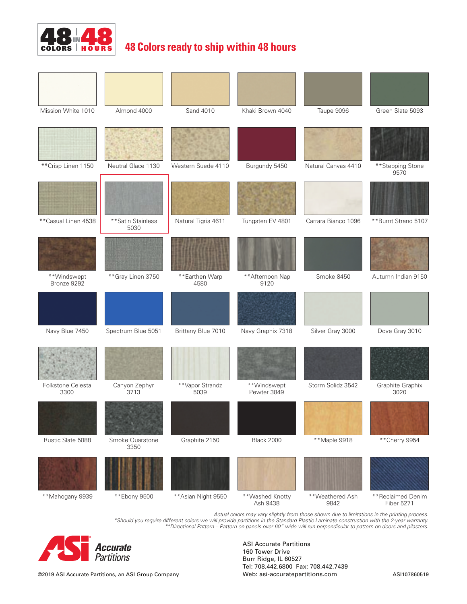

# **48 Colors ready to ship within 48 hours**

| Mission White 1010         | Almond 4000                | Sand 4010               | Khaki Brown 4040            | Taupe 9096              | Green Slate 5093                       |
|----------------------------|----------------------------|-------------------------|-----------------------------|-------------------------|----------------------------------------|
|                            |                            |                         |                             |                         |                                        |
| ** Crisp Linen 1150        | Neutral Glace 1130         | Western Suede 4110      | Burgundy 5450               | Natural Canvas 4410     | **Stepping Stone<br>9570               |
|                            |                            |                         |                             |                         |                                        |
| ** Casual Linen 4538       | ** Satin Stainless<br>5030 | Natural Tigris 4611     | Tungsten EV 4801            | Carrara Bianco 1096     | **Burnt Strand 5107                    |
|                            |                            |                         |                             |                         |                                        |
| **Windswept<br>Bronze 9292 | ** Gray Linen 3750         | **Earthen Warp<br>4580  | **Afternoon Nap<br>9120     | Smoke 8450              | Autumn Indian 9150                     |
|                            |                            |                         |                             |                         |                                        |
| Navy Blue 7450             | Spectrum Blue 5051         | Brittany Blue 7010      | Navy Graphix 7318           | Silver Gray 3000        | Dove Gray 3010                         |
|                            |                            |                         |                             |                         |                                        |
| Folkstone Celesta<br>3300  | Canyon Zephyr<br>3713      | **Vapor Strandz<br>5039 | **Windswept<br>Pewter 3849  | Storm Solidz 3542       | Graphite Graphix<br>3020               |
|                            |                            |                         |                             |                         |                                        |
| Rustic Slate 5088          | Smoke Quarstone<br>3350    | Graphite 2150           | <b>Black 2000</b>           | **Maple 9918            | ** Cherry 9954                         |
|                            |                            |                         |                             |                         |                                        |
| **Mahogany 9939            | ** Ebony 9500              | ** Asian Night 9550     | **Washed Knotty<br>Ash 9438 | **Weathered Ash<br>9842 | **Reclaimed Denim<br><b>Fiber 5271</b> |

Actual colors may vary slightly from those shown due to limitations in the printing process. \*Should you require different colors we will provide partitions in the Standard Plastic Laminate construction with the 2-year warranty. \*\*Directional Pattern – Pattern on panels over 60" wide will run perpendicular to pattern on doors and pilasters.



ASI Accurate Partitions 160 Tower Drive Burr Ridge, IL 60527 Tel: 708.442.6800 Fax: 708.442.7439 Web: asi-accuratepartitions.com ASI107860519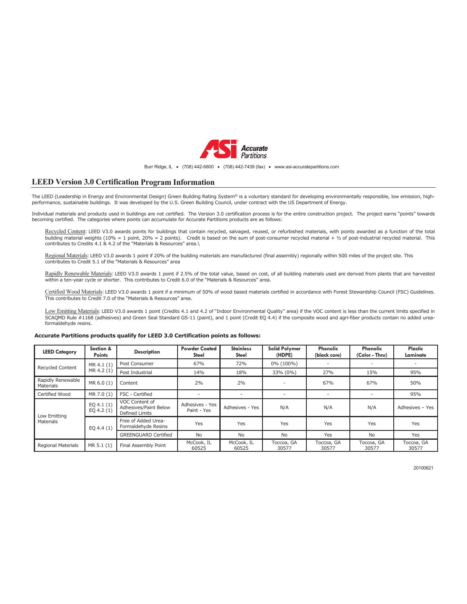

#### Burr Ridge, IL · (708) 442-6800 · (708) 442-7439 (fax) · www.asi-accuratepartitions.com

### **LEED Version 3.0 Certification Program Information**

The LEED (Leadership in Energy and Environmental Design) Green Building Rating System® is a voluntary standard for developing environmentally responsible, low emission, highperformance, sustainable buildings. It was developed by the U.S. Green Building Council, under contract with the US Department of Energy.

Individual materials and products used in buildings are not certified. The Version 3.0 certification process is for the entire construction project. The project earns "points" towards becoming certified. The categories where points can accumulate for Accurate Partitions products are as follows:

Recycled Content: LEED V3.0 awards points for buildings that contain recycled, salvaged, reused, or refurbished materials, with points awarded as a function of the total building material weights (10% = 1 point, 20% = 2 points). Credit is based on the sum of post-consumer recycled material + ½ of post-industrial recycled material. This<br>contributes to Credits 4.1 & 4.2 of the "Materials

Regional Materials: LEED V3.0 awards 1 point if 20% of the building materials are manufactured (final assembly) regionally within 500 miles of the project site. This contributes to Credit 5.1 of the "Materials & Resources" area

Rapidly Renewable Materials: LEED V3.0 awards 1 point if 2.5% of the total value, based on cost, of all building materials used are derived from plants that are harvested within a ten-year cycle or shorter. This contributes to Credit 6.0 of the "Materials & Resources" area.

Certified Wood Materials: LEED V3.0 awards 1 point if a minimum of 50% of wood based materials certified in accordance with Forest Stewardship Council (FSC) Guidelines. This contributes to Credit 7.0 of the "Materials & Resources" area.

Low Emitting Materials: LEED V3.0 awards 1 point (Credits 4.1 and 4.2 of "Indoor Environmental Quality" area) if the VOC content is less than the current limits specified in SCAQMD Rule #1168 (adhesives) and Green Seal Standard GS-11 (paint), and 1 point (Credit EQ 4.4) if the composite wood and agri-fiber products contain no added ureaformaldehyde resins.

#### **Accurate Partitions products qualify for LEED 3.0 Certification points as follows:**

| <b>LEED Category</b>           | Section &<br><b>Points</b>  | <b>Description</b>                                        | <b>Powder Coated</b><br><b>Steel</b> | <b>Stainless</b><br><b>Steel</b> | <b>Solid Polymer</b><br>(HDPE) | Phenolic<br>(black core) | <b>Phenolic</b><br>(Color - Thru) | Plastic<br>Laminate |
|--------------------------------|-----------------------------|-----------------------------------------------------------|--------------------------------------|----------------------------------|--------------------------------|--------------------------|-----------------------------------|---------------------|
| <b>Recycled Content</b>        | MR 4.1 (1)<br>MR 4.2 (1)    | Post Consumer                                             | 67%                                  | 72%                              | 0% (100%)                      | ٠                        | ۰                                 |                     |
|                                |                             | Post Industrial                                           | 14%                                  | 18%                              | 33% (0%)                       | 27%                      | 15%                               | 95%                 |
| Rapidly Renewable<br>Materials | MR 6.0 (1)                  | Content                                                   | 2%                                   | 2%                               | $\overline{\phantom{a}}$       | 67%                      | 67%                               | 50%                 |
| Certified Wood                 | MR 7.0 (1)                  | FSC - Certified                                           |                                      |                                  | $\overline{\phantom{a}}$       |                          |                                   | 95%                 |
| Low Emitting<br>Materials      | EQ $4.1(1)$<br>EQ 4.2 $(1)$ | VOC Content of<br>Adhesives/Paint Below<br>Defined Limits | Adhesives - Yes<br>Paint - Yes       | Adhesives - Yes                  | N/A                            | N/A                      | N/A                               | Adhesives - Yes     |
|                                | EQ 4.4 $(1)$                | Free of Added Urea-<br>Formaldehyde Resins                | Yes                                  | Yes                              | Yes                            | Yes                      | Yes                               | Yes                 |
|                                |                             | <b>GREENGUARD Certified</b>                               | No                                   | No                               | No                             | Yes                      | No                                | Yes                 |
| <b>Regional Materials</b>      | MR 5.1 (1)                  | Final Assembly Point                                      | McCook, IL<br>60525                  | McCook, IL<br>60525              | Toccoa, GA<br>30577            | Toccoa, GA<br>30577      | Toccoa, GA<br>30577               | Toccoa, GA<br>30577 |